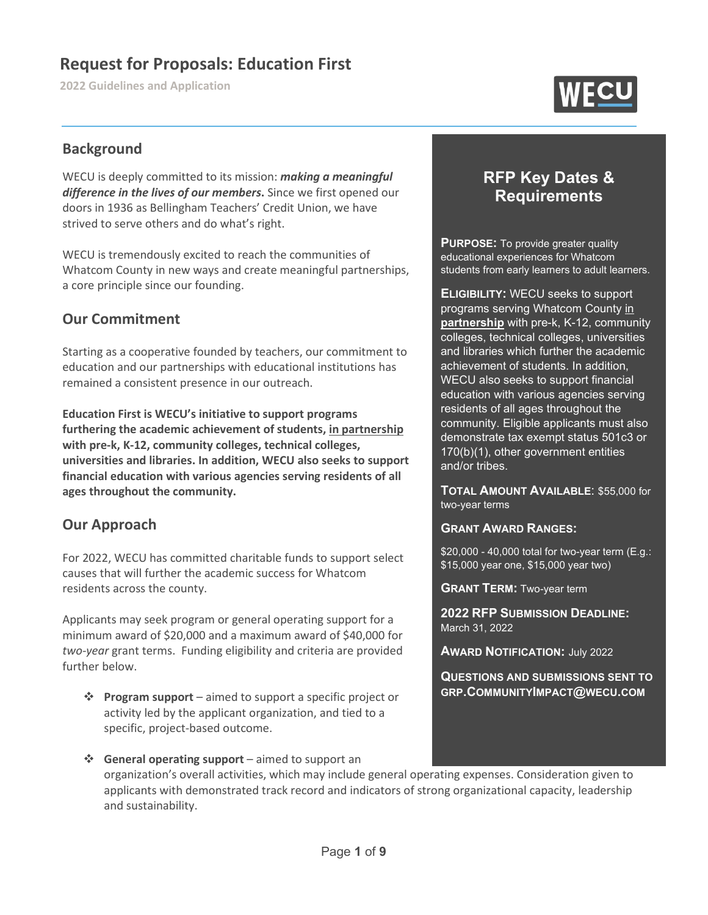# **Request for Proposals: Education First**

**2022 Guidelines and Application**



### **Background**

WECU is deeply committed to its mission: *making a meaningful difference in the lives of our members***.** Since we first opened our doors in 1936 as Bellingham Teachers' Credit Union, we have strived to serve others and do what's right.

WECU is tremendously excited to reach the communities of Whatcom County in new ways and create meaningful partnerships, a core principle since our founding.

### **Our Commitment**

Starting as a cooperative founded by teachers, our commitment to education and our partnerships with educational institutions has remained a consistent presence in our outreach.

**Education First is WECU's initiative to support programs furthering the academic achievement of students, in partnership with pre-k, K-12, community colleges, technical colleges, universities and libraries. In addition, WECU also seeks to support financial education with various agencies serving residents of all ages throughout the community.**

### **Our Approach**

For 2022, WECU has committed charitable funds to support select causes that will further the academic success for Whatcom residents across the county.

Applicants may seek program or general operating support for a minimum award of \$20,000 and a maximum award of \$40,000 for *two-year* grant terms. Funding eligibility and criteria are provided further below.

- **Program support** aimed to support a specific project or activity led by the applicant organization, and tied to a specific, project-based outcome.
- **General operating support** aimed to support an organization's overall activities, which may include general operating expenses. Consideration given to applicants with demonstrated track record and indicators of strong organizational capacity, leadership and sustainability.

# **RFP Key Dates & Requirements**

**PURPOSE:** To provide greater quality educational experiences for Whatcom students from early learners to adult learners.

**ELIGIBILITY:** WECU seeks to support programs serving Whatcom County in **partnership** with pre-k, K-12, community colleges, technical colleges, universities and libraries which further the academic achievement of students. In addition, WECU also seeks to support financial education with various agencies serving residents of all ages throughout the community. Eligible applicants must also demonstrate tax exempt status 501c3 or 170(b)(1), other government entities and/or tribes.

**TOTAL AMOUNT AVAILABLE**: \$55,000 for two-year terms

#### **GRANT AWARD RANGES:**

\$20,000 - 40,000 total for two-year term (E.g.: \$15,000 year one, \$15,000 year two)

**GRANT TERM:** Two-year term

**2022 RFP SUBMISSION DEADLINE:** March 31, 2022

**AWARD NOTIFICATION:** July 2022

**QUESTIONS AND SUBMISSIONS SENT TO GRP.COMMUNITYIMPACT@WECU.COM**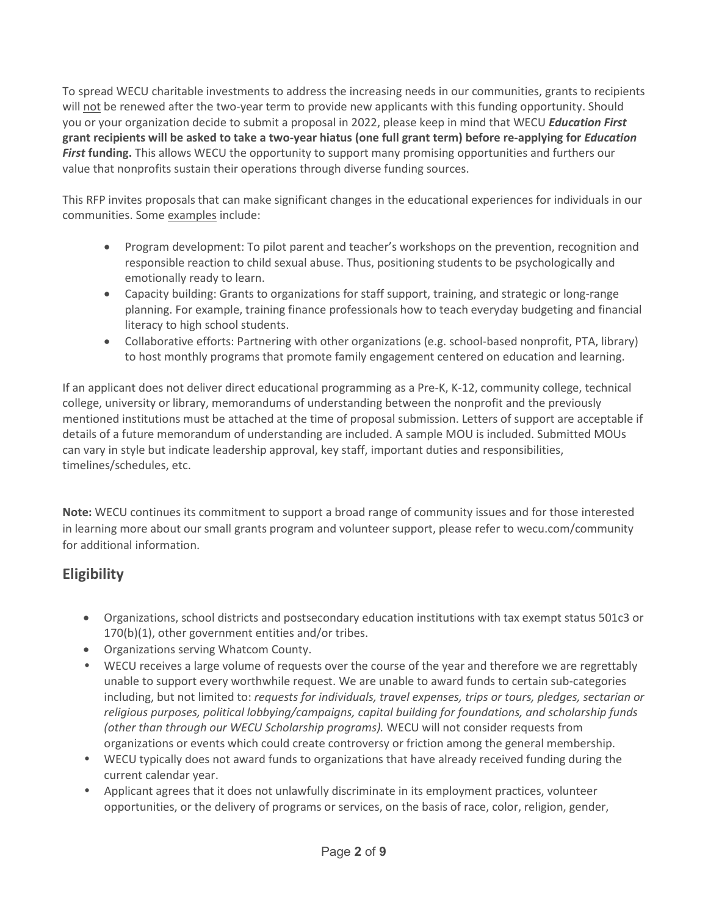To spread WECU charitable investments to address the increasing needs in our communities, grants to recipients will not be renewed after the two-year term to provide new applicants with this funding opportunity. Should you or your organization decide to submit a proposal in 2022, please keep in mind that WECU *Education First* **grant recipients will be asked to take a two-year hiatus (one full grant term) before re-applying for** *Education First* **funding.** This allows WECU the opportunity to support many promising opportunities and furthers our value that nonprofits sustain their operations through diverse funding sources.

This RFP invites proposals that can make significant changes in the educational experiences for individuals in our communities. Some examples include:

- Program development: To pilot parent and teacher's workshops on the prevention, recognition and responsible reaction to child sexual abuse. Thus, positioning students to be psychologically and emotionally ready to learn.
- Capacity building: Grants to organizations for staff support, training, and strategic or long-range planning. For example, training finance professionals how to teach everyday budgeting and financial literacy to high school students.
- Collaborative efforts: Partnering with other organizations (e.g. school-based nonprofit, PTA, library) to host monthly programs that promote family engagement centered on education and learning.

If an applicant does not deliver direct educational programming as a Pre-K, K-12, community college, technical college, university or library, memorandums of understanding between the nonprofit and the previously mentioned institutions must be attached at the time of proposal submission. Letters of support are acceptable if details of a future memorandum of understanding are included. A sample MOU is included. Submitted MOUs can vary in style but indicate leadership approval, key staff, important duties and responsibilities, timelines/schedules, etc.

**Note:** WECU continues its commitment to support a broad range of community issues and for those interested in learning more about our small grants program and volunteer support, please refer to wecu.com/community for additional information.

# **Eligibility**

- Organizations, school districts and postsecondary education institutions with tax exempt status 501c3 or 170(b)(1), other government entities and/or tribes.
- Organizations serving Whatcom County.
- *•* WECU receives a large volume of requests over the course of the year and therefore we are regrettably unable to support every worthwhile request. We are unable to award funds to certain sub-categories including, but not limited to: *requests for individuals, travel expenses, trips or tours, pledges, sectarian or religious purposes, political lobbying/campaigns, capital building for foundations, and scholarship funds (other than through our WECU Scholarship programs).* WECU will not consider requests from organizations or events which could create controversy or friction among the general membership.
- *•* WECU typically does not award funds to organizations that have already received funding during the current calendar year.
- Applicant agrees that it does not unlawfully discriminate in its employment practices, volunteer opportunities, or the delivery of programs or services, on the basis of race, color, religion, gender,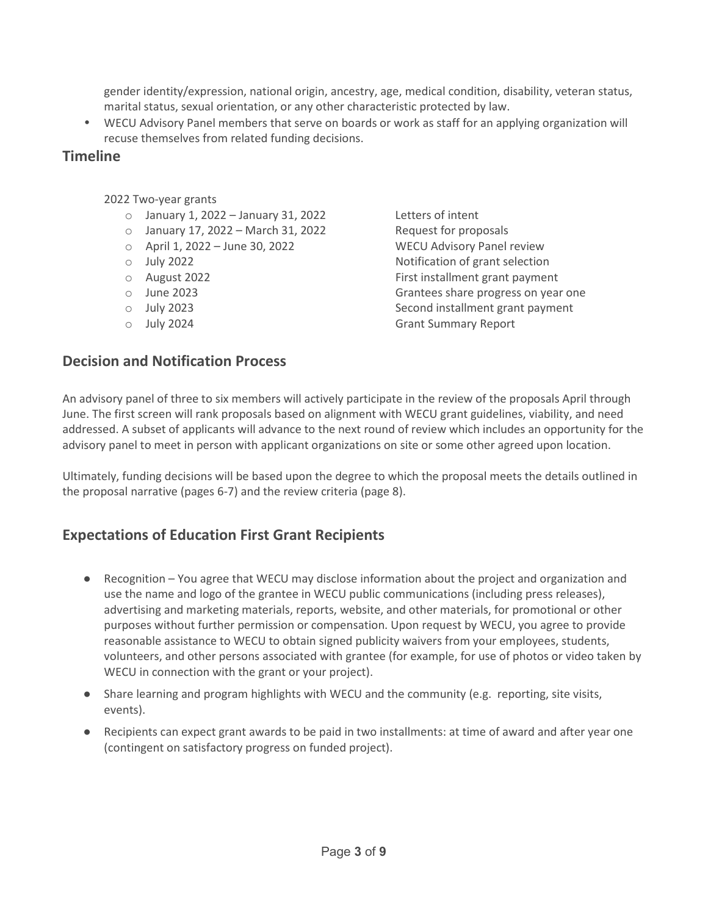gender identity/expression, national origin, ancestry, age, medical condition, disability, veteran status, marital status, sexual orientation, or any other characteristic protected by law.

• WECU Advisory Panel members that serve on boards or work as staff for an applying organization will recuse themselves from related funding decisions.

### **Timeline**

2022 Two-year grants

- o January 1, 2022 January 31, 2022 Letters of intent
- o January 17, 2022 March 31, 2022 Request for proposals
- o April 1, 2022 June 30, 2022 WECU Advisory Panel review
- 
- 
- 
- 
- 
- o July 2022 Notification of grant selection o August 2022 First installment grant payment o June 2023 Grantees share progress on year one o July 2023 Second installment grant payment **Grant Summary Report**

## **Decision and Notification Process**

An advisory panel of three to six members will actively participate in the review of the proposals April through June. The first screen will rank proposals based on alignment with WECU grant guidelines, viability, and need addressed. A subset of applicants will advance to the next round of review which includes an opportunity for the advisory panel to meet in person with applicant organizations on site or some other agreed upon location.

Ultimately, funding decisions will be based upon the degree to which the proposal meets the details outlined in the proposal narrative (pages 6-7) and the review criteria (page 8).

## **Expectations of Education First Grant Recipients**

- Recognition You agree that WECU may disclose information about the project and organization and use the name and logo of the grantee in WECU public communications (including press releases), advertising and marketing materials, reports, website, and other materials, for promotional or other purposes without further permission or compensation. Upon request by WECU, you agree to provide reasonable assistance to WECU to obtain signed publicity waivers from your employees, students, volunteers, and other persons associated with grantee (for example, for use of photos or video taken by WECU in connection with the grant or your project).
- Share learning and program highlights with WECU and the community (e.g. reporting, site visits, events).
- Recipients can expect grant awards to be paid in two installments: at time of award and after year one (contingent on satisfactory progress on funded project).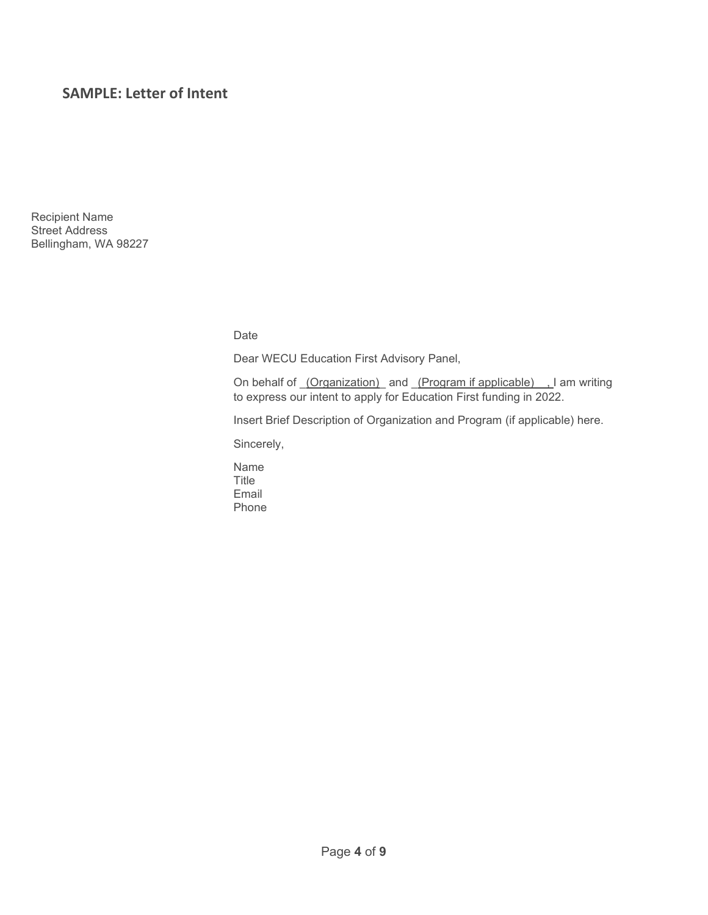### **SAMPLE: Letter of Intent**

Recipient Name Street Address Bellingham, WA 98227

Date

Dear WECU Education First Advisory Panel,

On behalf of <u>(Organization)</u> and (Program if applicable), I am writing to express our intent to apply for Education First funding in 2022.

Insert Brief Description of Organization and Program (if applicable) here.

Sincerely,

Name Title Email Phone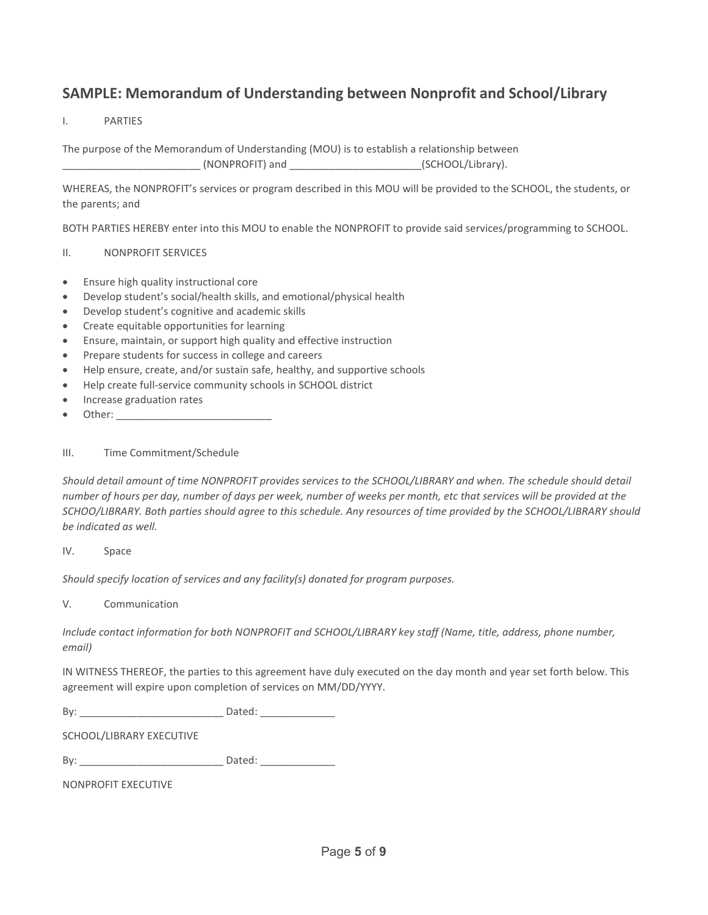## **SAMPLE: Memorandum of Understanding between Nonprofit and School/Library**

#### I. PARTIES

The purpose of the Memorandum of Understanding (MOU) is to establish a relationship between \_\_\_\_\_\_\_\_\_\_\_\_\_\_\_\_\_\_\_\_\_\_\_\_ (NONPROFIT) and \_\_\_\_\_\_\_\_\_\_\_\_\_\_\_\_\_\_\_\_\_\_\_(SCHOOL/Library).

WHEREAS, the NONPROFIT's services or program described in this MOU will be provided to the SCHOOL, the students, or the parents; and

BOTH PARTIES HEREBY enter into this MOU to enable the NONPROFIT to provide said services/programming to SCHOOL.

#### II. NONPROFIT SERVICES

- Ensure high quality instructional core
- Develop student's social/health skills, and emotional/physical health
- Develop student's cognitive and academic skills
- Create equitable opportunities for learning
- Ensure, maintain, or support high quality and effective instruction
- Prepare students for success in college and careers
- Help ensure, create, and/or sustain safe, healthy, and supportive schools
- Help create full-service community schools in SCHOOL district
- Increase graduation rates
- Other: \_\_\_\_\_\_\_\_\_\_\_\_\_\_\_\_\_\_\_\_\_\_\_\_\_\_\_

#### III. Time Commitment/Schedule

*Should detail amount of time NONPROFIT provides services to the SCHOOL/LIBRARY and when. The schedule should detail number of hours per day, number of days per week, number of weeks per month, etc that services will be provided at the SCHOO/LIBRARY. Both parties should agree to this schedule. Any resources of time provided by the SCHOOL/LIBRARY should be indicated as well.*

#### IV. Space

*Should specify location of services and any facility(s) donated for program purposes.*

#### V. Communication

*Include contact information for both NONPROFIT and SCHOOL/LIBRARY key staff (Name, title, address, phone number, email)* 

IN WITNESS THEREOF, the parties to this agreement have duly executed on the day month and year set forth below. This agreement will expire upon completion of services on MM/DD/YYYY.

By: \_\_\_\_\_\_\_\_\_\_\_\_\_\_\_\_\_\_\_\_\_\_\_\_\_ Dated: \_\_\_\_\_\_\_\_\_\_\_\_\_

SCHOOL/LIBRARY EXECUTIVE

By: \_\_\_\_\_\_\_\_\_\_\_\_\_\_\_\_\_\_\_\_\_\_\_\_\_ Dated: \_\_\_\_\_\_\_\_\_\_\_\_\_

NONPROFIT EXECUTIVE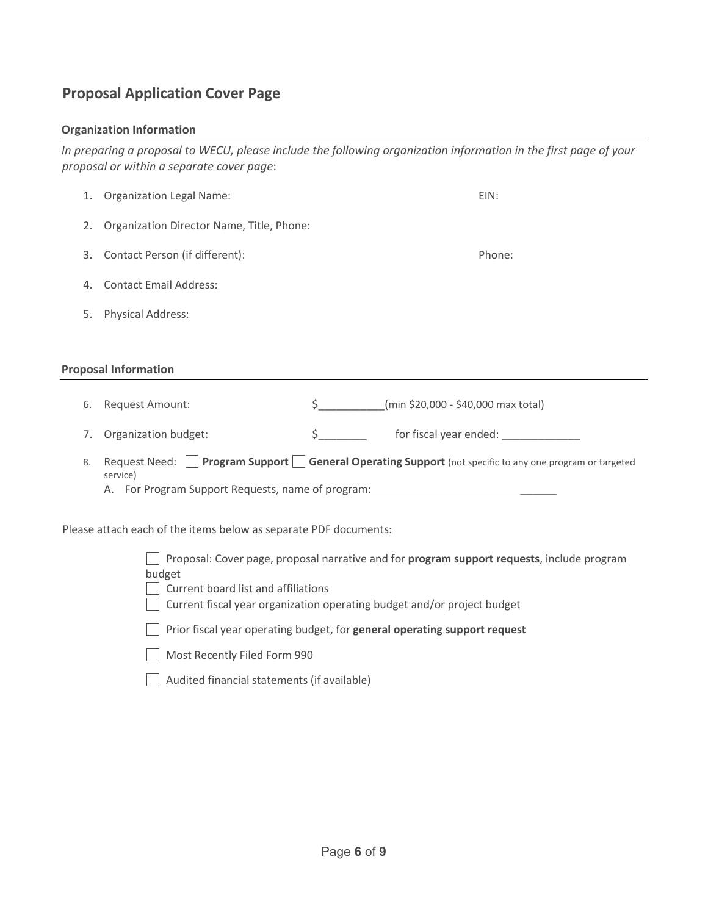## **Proposal Application Cover Page**

#### **Organization Information**

*In preparing a proposal to WECU, please include the following organization information in the first page of your proposal or within a separate cover page*:

|                                                                                                                                             | 1. Organization Legal Name:                                                                                      |                                           | EIN:   |  |  |  |  |
|---------------------------------------------------------------------------------------------------------------------------------------------|------------------------------------------------------------------------------------------------------------------|-------------------------------------------|--------|--|--|--|--|
| 2.                                                                                                                                          | Organization Director Name, Title, Phone:                                                                        |                                           |        |  |  |  |  |
| 3.                                                                                                                                          | Contact Person (if different):                                                                                   |                                           | Phone: |  |  |  |  |
| 4.                                                                                                                                          | <b>Contact Email Address:</b>                                                                                    |                                           |        |  |  |  |  |
| 5.                                                                                                                                          | <b>Physical Address:</b>                                                                                         |                                           |        |  |  |  |  |
|                                                                                                                                             |                                                                                                                  |                                           |        |  |  |  |  |
| <b>Proposal Information</b>                                                                                                                 |                                                                                                                  |                                           |        |  |  |  |  |
| 6.                                                                                                                                          | Request Amount:                                                                                                  | \$ (min \$20,000 - \$40,000 max total)    |        |  |  |  |  |
| 7.                                                                                                                                          | Organization budget:                                                                                             | $\mathsf{\dot{S}}$ and $\mathsf{\dot{S}}$ |        |  |  |  |  |
| 8.                                                                                                                                          | Request Need: Program Support General Operating Support (not specific to any one program or targeted<br>service) |                                           |        |  |  |  |  |
| Please attach each of the items below as separate PDF documents:                                                                            |                                                                                                                  |                                           |        |  |  |  |  |
| Proposal: Cover page, proposal narrative and for program support requests, include program<br>budget<br>Current board list and affiliations |                                                                                                                  |                                           |        |  |  |  |  |

Current fiscal year organization operating budget and/or project budget

Prior fiscal year operating budget, for **general operating support request**

Most Recently Filed Form 990

Audited financial statements (if available)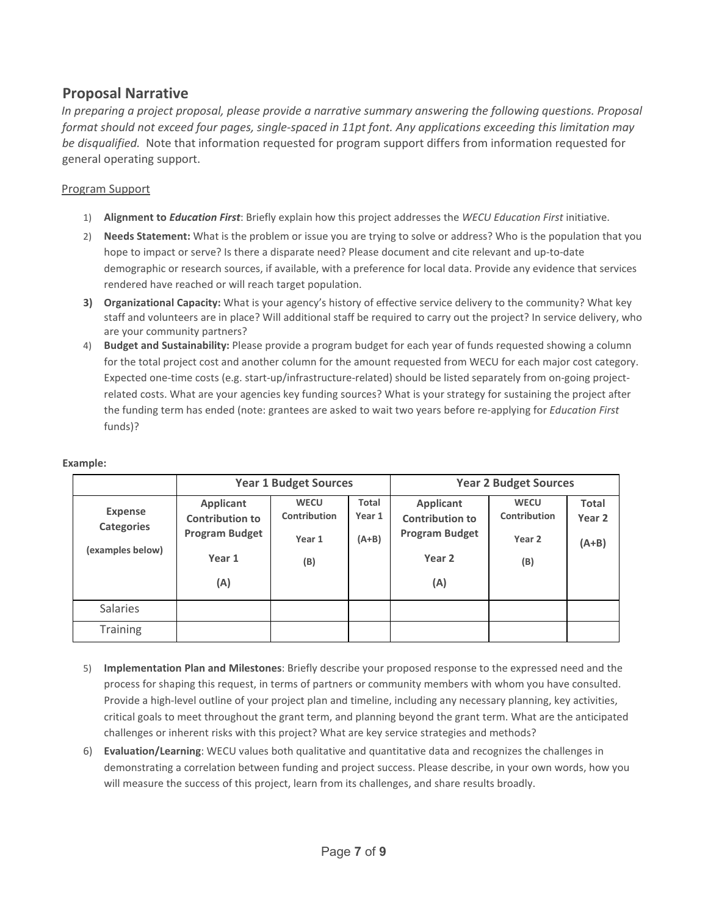## **Proposal Narrative**

*In preparing a project proposal, please provide a narrative summary answering the following questions. Proposal format should not exceed four pages, single-spaced in 11pt font. Any applications exceeding this limitation may be disqualified.* Note that information requested for program support differs from information requested for general operating support.

#### Program Support

- 1) **Alignment to** *Education First*: Briefly explain how this project addresses the *WECU Education First* initiative.
- 2) **Needs Statement:** What is the problem or issue you are trying to solve or address? Who is the population that you hope to impact or serve? Is there a disparate need? Please document and cite relevant and up-to-date demographic or research sources, if available, with a preference for local data. Provide any evidence that services rendered have reached or will reach target population.
- **3) Organizational Capacity:** What is your agency's history of effective service delivery to the community? What key staff and volunteers are in place? Will additional staff be required to carry out the project? In service delivery, who are your community partners?
- 4) **Budget and Sustainability:** Please provide a program budget for each year of funds requested showing a column for the total project cost and another column for the amount requested from WECU for each major cost category. Expected one-time costs (e.g. start-up/infrastructure-related) should be listed separately from on-going projectrelated costs. What are your agencies key funding sources? What is your strategy for sustaining the project after the funding term has ended (note: grantees are asked to wait two years before re-applying for *Education First* funds)?

#### **Example:**

|                                     | <b>Year 1 Budget Sources</b>        |                             |                 | <b>Year 2 Budget Sources</b>               |                             |                                   |
|-------------------------------------|-------------------------------------|-----------------------------|-----------------|--------------------------------------------|-----------------------------|-----------------------------------|
| <b>Expense</b><br><b>Categories</b> | Applicant<br><b>Contribution to</b> | <b>WECU</b><br>Contribution | Total<br>Year 1 | <b>Applicant</b><br><b>Contribution to</b> | <b>WECU</b><br>Contribution | <b>Total</b><br>Year <sub>2</sub> |
| (examples below)                    | <b>Program Budget</b>               | Year 1                      | $(A+B)$         | <b>Program Budget</b>                      | Year 2                      | $(A+B)$                           |
|                                     | Year 1                              | (B)                         |                 | Year <sub>2</sub>                          | (B)                         |                                   |
|                                     | (A)                                 |                             |                 | (A)                                        |                             |                                   |
| <b>Salaries</b>                     |                                     |                             |                 |                                            |                             |                                   |
| <b>Training</b>                     |                                     |                             |                 |                                            |                             |                                   |

- 5) **Implementation Plan and Milestones**: Briefly describe your proposed response to the expressed need and the process for shaping this request, in terms of partners or community members with whom you have consulted. Provide a high-level outline of your project plan and timeline, including any necessary planning, key activities, critical goals to meet throughout the grant term, and planning beyond the grant term. What are the anticipated challenges or inherent risks with this project? What are key service strategies and methods?
- 6) **Evaluation/Learning**: WECU values both qualitative and quantitative data and recognizes the challenges in demonstrating a correlation between funding and project success. Please describe, in your own words, how you will measure the success of this project, learn from its challenges, and share results broadly.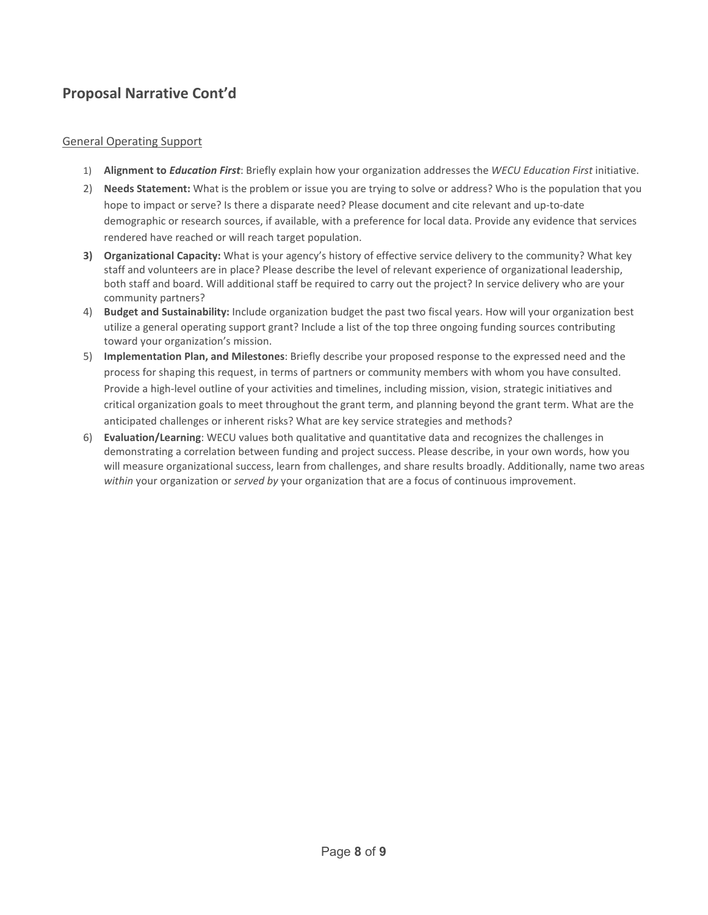# **Proposal Narrative Cont'd**

#### General Operating Support

- 1) **Alignment to** *Education First*: Briefly explain how your organization addresses the *WECU Education First* initiative.
- 2) **Needs Statement:** What is the problem or issue you are trying to solve or address? Who is the population that you hope to impact or serve? Is there a disparate need? Please document and cite relevant and up-to-date demographic or research sources, if available, with a preference for local data. Provide any evidence that services rendered have reached or will reach target population.
- **3) Organizational Capacity:** What is your agency's history of effective service delivery to the community? What key staff and volunteers are in place? Please describe the level of relevant experience of organizational leadership, both staff and board. Will additional staff be required to carry out the project? In service delivery who are your community partners?
- 4) **Budget and Sustainability:** Include organization budget the past two fiscal years. How will your organization best utilize a general operating support grant? Include a list of the top three ongoing funding sources contributing toward your organization's mission.
- 5) **Implementation Plan, and Milestones**: Briefly describe your proposed response to the expressed need and the process for shaping this request, in terms of partners or community members with whom you have consulted. Provide a high-level outline of your activities and timelines, including mission, vision, strategic initiatives and critical organization goals to meet throughout the grant term, and planning beyond the grant term. What are the anticipated challenges or inherent risks? What are key service strategies and methods?
- 6) **Evaluation/Learning**: WECU values both qualitative and quantitative data and recognizes the challenges in demonstrating a correlation between funding and project success. Please describe, in your own words, how you will measure organizational success, learn from challenges, and share results broadly. Additionally, name two areas *within* your organization or *served by* your organization that are a focus of continuous improvement.